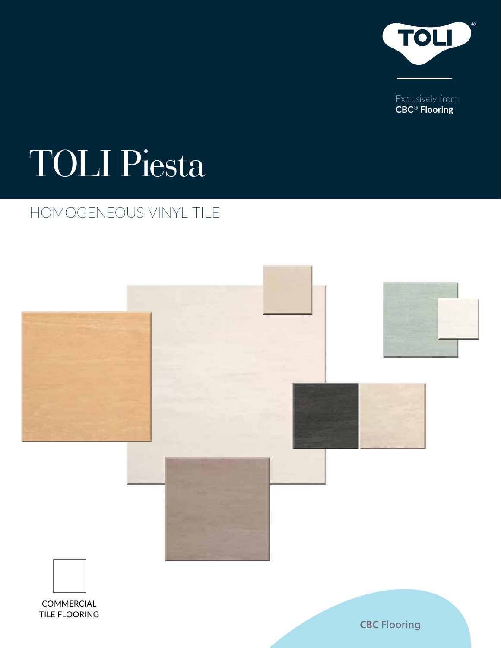

Exclusively from **CBC**® **Flooring**

# TOLI Piesta

## HOMOGENEOUS VINYL TILE

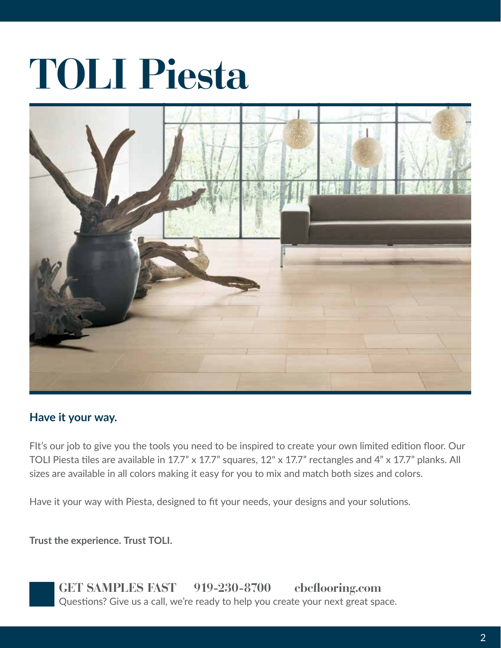# **TOLI Piesta**



### **Have it your way.**

FIt's our job to give you the tools you need to be inspired to create your own limited edition floor. Our TOLI Piesta tiles are available in 17.7" x 17.7" squares, 12" x 17.7" rectangles and 4" x 17.7" planks. All sizes are available in all colors making it easy for you to mix and match both sizes and colors.

Have it your way with Piesta, designed to fit your needs, your designs and your solutions.

**Trust the experience. Trust TOLI.**



**GET SAMPLES FAST 919-230-8700 cbcflooring.com** Questions? Give us a call, we're ready to help you create your next great space.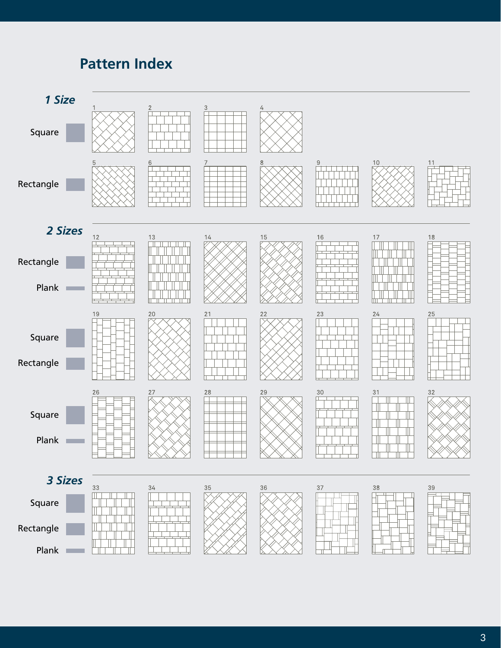## **Pattern Index**

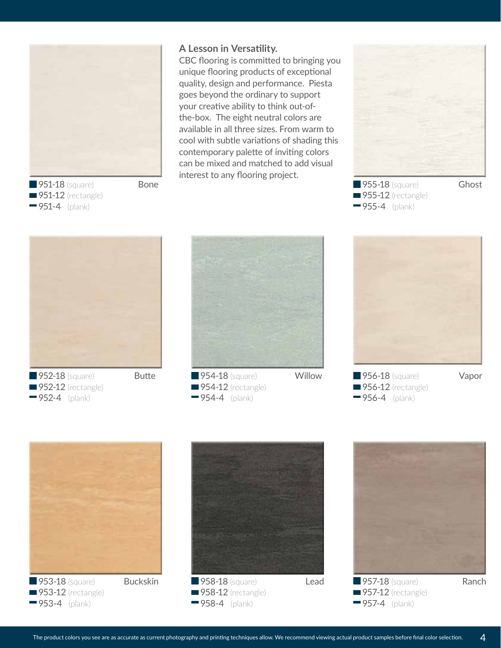

**951-18** (square) **Bone 951-12** (rectangle) 951-4 (plank)

**952-12** (rectangle) 952-4 (plank)

#### **A Lesson in Versatility.**

CBC flooring is committed to bringing you unique flooring products of exceptional quality, design and performance. Piesta goes beyond the ordinary to support your creative ability to think out-ofthe-box. The eight neutral colors are available in all three sizes. From warm to cool with subtle variations of shading this contemporary palette of inviting colors can be mixed and matched to add visual interest to any flooring project.



**955-18** (square) **Ghost 955-12** (rectangle) 955-4 (plank)



**952-18** (square) **Butte** 







**956-18** (square) **Vapor 956-12** (rectangle) 956-4 (plank)



**958-18** (square) **Lead 958-12** (rectangle) 958-4 (plank)

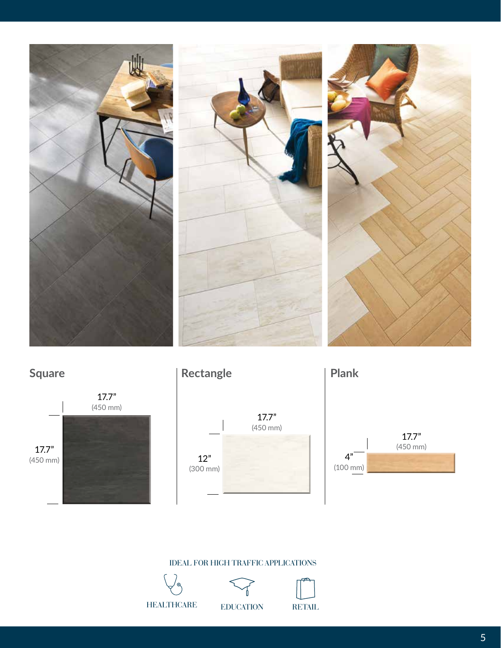







IDEAL FOR HIGH TRAFFIC APPLICATIONS

![](_page_4_Picture_5.jpeg)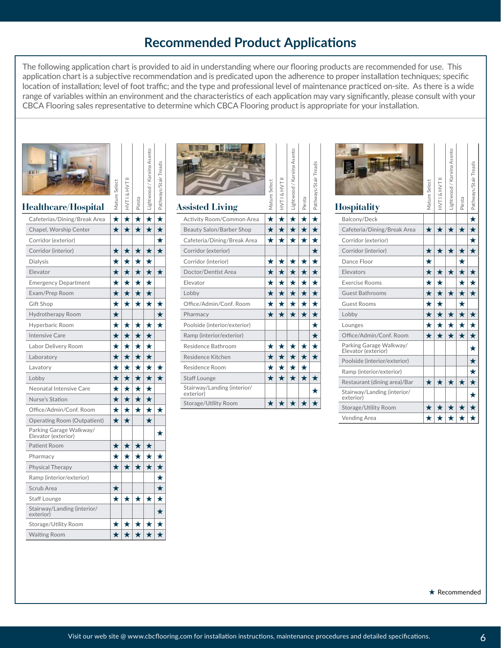## **Recommended Product Applications**

The following application chart is provided to aid in understanding where our flooring products are recommended for use. This application chart is a subjective recommendation and is predicated upon the adherence to proper installation techniques; specific location of installation; level of foot traffic; and the type and professional level of maintenance practiced on-site. As there is a wide range of variables within an environment and the characteristics of each application may vary significantly, please consult with your CBCA Flooring sales representative to determine which CBCA Flooring product is appropriate for your installation.

|--|

**Healthcare/Hospital**

Waiting Room

|     |                       | $\bigstar$   Mature Select       |
|-----|-----------------------|----------------------------------|
|     |                       | <b>=_&gt;+ ∞  _&gt;+   ★   ★</b> |
|     | $\frac{\star}{\star}$ | Piesta                           |
|     | $\frac{\star}{\star}$ | Lightwood / Kareina Asento       |
| ★★★ |                       | Pathways/Stair Treads            |

★ ★ ★ ★ ★ ★

| Cafeterias/Dining/Break Area                   | ★       | ★       | ★       | ★       | ★       |
|------------------------------------------------|---------|---------|---------|---------|---------|
| Chapel, Worship Center                         | ★       | ★       | ★       | ★       | ★       |
| Corridor (exterior)                            |         |         |         |         | ★       |
| Corridor (interior)                            | ★       | $\star$ | $\star$ | $\star$ | ★       |
| Dialysis                                       | ★       | $\star$ | ★       | ★       |         |
| Elevator                                       | ★       | ★       | ★       | ★       | ★       |
| <b>Emergency Department</b>                    | *       | $\star$ | ★       | ★       |         |
| Exam/Prep Room                                 | ★       | ★       | ★       | $\star$ |         |
| Gift Shop                                      | ★       | $\star$ | ★       | ★       | ★       |
| Hydrotherapy Room                              | ★       |         |         |         | ★       |
| Hyperbaric Room                                | *       | ★       | ★       | ★       | ★       |
| Intensive Care                                 | ★       | $\star$ | $\star$ | ★       |         |
| Labor Delivery Room                            | *       | *       | *       | $\star$ |         |
| Laboratory                                     | $\star$ | $\star$ | $\star$ | $\star$ |         |
| Lavatory                                       | *       | *       | ★       | ★       | ★       |
| Lobby                                          | $\star$ | $\star$ | $\star$ | ★       | $\star$ |
| Neonatal Intensive Care                        | ★       | ★       | ★       | ★       |         |
| Nurse's Station                                | ★       | ★       | ★       | $\star$ |         |
| Office/Admin/Conf. Room                        | *       | $\star$ | $\star$ | $\star$ | ★       |
| Operating Room (Outpatient)                    | $\star$ | ★       |         | $\star$ |         |
| Parking Garage Walkway/<br>Elevator (exterior) |         |         |         |         | ★       |
| <b>Patient Room</b>                            | $\star$ | $\star$ | $\star$ | $\star$ |         |
| Pharmacy                                       | ★       | ★       | ★       | ★       | ★       |
| <b>Physical Therapy</b>                        | ★       | $\star$ | $\star$ | $\star$ | ★       |
| Ramp (interior/exterior)                       |         |         |         |         | ★       |
| Scrub Area                                     | ★       |         |         |         | ★       |
| <b>Staff Lounge</b>                            | ★       | ★       | ★       | ★       | ★       |
| Stairway/Landing (interior/<br>exterior)       |         |         |         |         | ★       |
| Storage/Utility Room                           | $\star$ | ★       | $\star$ | ★       | ★       |

![](_page_5_Picture_5.jpeg)

| <b>Assisted Living</b>                   | Mature Select | HVTI&HVTI  | Lightwood / Kareina Asento | Piesta  | Pathways/Stair Treads |
|------------------------------------------|---------------|------------|----------------------------|---------|-----------------------|
| Activity Room/Common Area                | $\star$       | $\star$    | $\star$                    | $\star$ | $\star$               |
| <b>Beauty Salon/Barber Shop</b>          | $\star$       | $\bigstar$ | $\star$                    | ★       | $\star$               |
| Cafeteria/Dining/Break Area              | ★             | ★          | ★                          | ★       | *                     |
| Corridor (exterior)                      |               |            |                            |         | ★                     |
| Corridor (interior)                      | ★             | ★          | *                          | ★       | *                     |
| Doctor/Dentist Area                      | ★             | ★          | ★                          | ★       | ★                     |
| Elevator                                 | ★             | ★          | ★                          | ★       | ★                     |
| Lobby                                    | ★             | *          | *                          | *       | ★                     |
| Office/Admin/Conf. Room                  | ★             | *          | ★                          | ★       | *                     |
| Pharmacy                                 | $\star$       | $\star$    | ★                          | ★       | ★                     |
| Poolside (interior/exterior)             |               |            |                            |         | ★                     |
| Ramp (interior/exterior)                 |               |            |                            |         | ★                     |
| Residence Bathroom                       | ★             | ★          | ★                          | ★       | $\star$               |
| Residence Kitchen                        | $\star$       | ★          | ★                          | ★       | ★                     |
| Residence Room                           | ★             | ★          | ★                          | ★       |                       |
| <b>Staff Lounge</b>                      | ★             | $\star$    | ★                          | $\star$ | *                     |
| Stairway/Landing (interior/<br>exterior) |               |            |                            |         | *                     |
| Storage/Utility Room                     | *             |            |                            | ж       |                       |

| <b>Hospitality</b> | Mature Select |
|--------------------|---------------|

| Hospitality                                    | Mature Select | <b>HVTI&amp;HVTII</b> | Lightwood / Kareina Asento | Piesta  | Pathways/Stair Treads |
|------------------------------------------------|---------------|-----------------------|----------------------------|---------|-----------------------|
| Balcony/Deck                                   |               |                       |                            |         | ★                     |
| Cafeteria/Dining/Break Area                    | $\star$       | ★                     | ★                          | $\star$ | ★                     |
| Corridor (exterior)                            |               |                       |                            |         | ★                     |
| Corridor (interior)                            | ★             | ★                     | $\star$                    | ★       | ★                     |
| Dance Floor                                    | ★             |                       |                            | ★       |                       |
| Elevators                                      | ★             | ★                     | $\star$                    | $\star$ | ★                     |
| <b>Exercise Rooms</b>                          | $\star$       | ★                     |                            | ★       | ★                     |
| <b>Guest Bathrooms</b>                         | $\star$       | ★                     | ★                          | $\star$ | ★                     |
| <b>Guest Rooms</b>                             | $\star$       | ★                     |                            | $\star$ |                       |
| Lobby                                          | $\star$       | $\star$               | ★                          | $\star$ | ★                     |
| Lounges                                        | $\star$       | ★                     | ★                          | $\star$ | ★                     |
| Office/Admin/Conf. Room                        | $\star$       | $\star$               | $\star$                    | $\star$ | ★                     |
| Parking Garage Walkway/<br>Elevator (exterior) |               |                       |                            |         | ★                     |
| Poolside (interior/exterior)                   |               |                       |                            |         | ★                     |
| Ramp (interior/exterior)                       |               |                       |                            |         | ★                     |
| Restaurant (dining area)/Bar                   | $\star$       | ★                     | ★                          | ★       | ★                     |
| Stairway/Landing (interior/<br>exterior)       |               |                       |                            |         | *                     |
| Storage/Utility Room                           | *             | *                     | ★                          | $\star$ | ★                     |
| Vending Area                                   | ★             | ★                     | ★                          | ★       | ★                     |

 $\star$  Recommended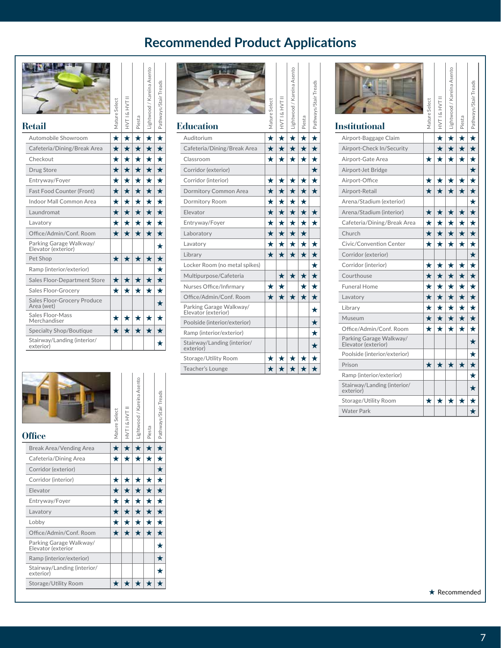## **Recommended Product Applications**

| Retail                                         | Mature Select | <b>TAH % LAN</b> | Piesta  | -ightwood / Kareina Asento | Pathways/Stair Treads |
|------------------------------------------------|---------------|------------------|---------|----------------------------|-----------------------|
| Automobile Showroom                            | $\star$       | *                | *       | *                          | ★                     |
| Cafeteria/Dining/Break Area                    | $\star$       | *                | $\star$ | ★                          | *                     |
| Checkout                                       | $\star$       | ★                | ★       | ★                          | ★                     |
| <b>Drug Store</b>                              | $\star$       | $\star$          | $\star$ | $\star$                    | $\star$               |
| Entryway/Foyer                                 | *             | *                | *       | *                          | *                     |
| Fast Food Counter (Front)                      | *             | *                | ★       | ★                          | ★                     |
| Indoor Mall Common Area                        | *             | *                | *       | *                          | *                     |
| Laundromat                                     | $\star$       | ★                | ★       | ★                          | ★                     |
| Lavatory                                       | *             | ★                | *       | ★                          | *                     |
| Office/Admin/Conf. Room                        | $\star$       | $\star$          | $\star$ | ★                          | *                     |
| Parking Garage Walkway/<br>Elevator (exterior) |               |                  |         |                            | *                     |
| Pet Shop                                       | $\star$       | $\star$          | $\star$ | $\star$                    | *                     |
| Ramp (interior/exterior)                       |               |                  |         |                            | *                     |
| Sales Floor-Department Store                   | $\star$       | ★                | $\star$ | ★                          | ★                     |
| Sales Floor-Grocerv                            | *             | *                | ★       | *                          | *                     |
| Sales Floor-Grocery Produce<br>Area (wet)      |               |                  |         |                            | ★                     |
| Sales Floor-Mass<br>Merchandiser               | *             | ★                | *       | *                          | *                     |
| Specialty Shop/Boutique                        | $\star$       | ★                | ★       | $\star$                    | ★                     |
| Stairway/Landing (interior/<br>exterior)       |               |                  |         |                            | ★                     |

| <b>Office</b>                                 | Mature Select | HVTI&HVTI  | -ightwood / Kareina Asento | Piesta  | Pathways/Stair Treads |
|-----------------------------------------------|---------------|------------|----------------------------|---------|-----------------------|
| <b>Break Area/Vending Area</b>                | $\star$       | $\bigstar$ | $\star$                    | $\star$ | $\star$               |
| Cafeteria/Dining Area                         | *             | $\star$    | $\star$                    | ★       | ★                     |
| Corridor (exterior)                           |               |            |                            |         | ★                     |
| Corridor (interior)                           | ★             | ★          | ★                          | ★       | ★                     |
| Elevator                                      | ★             | ★          | ★                          | $\star$ | ★                     |
| Entryway/Foyer                                | *             | *          | ★                          | ★       | ★                     |
| Lavatory                                      | ★             | ★          | ★                          | ★       | ★                     |
| Lobby                                         | $\star$       | $\star$    | ★                          | ★       | ★                     |
| Office/Admin/Conf. Room                       | $\star$       | $\star$    | $\star$                    | $\star$ | ★                     |
| Parking Garage Walkway/<br>Elevator (exterior |               |            |                            |         | ★                     |
| Ramp (interior/exterior)                      |               |            |                            |         | ★                     |
| Stairway/Landing (interior/<br>exterior)      |               |            |                            |         | *                     |
| Storage/Utility Room                          | ★             | ★          | ★                          | ★       | Х                     |

| Education                                      | Mature Select | HVTI&HVTII | Lightwood / Kareina Asento | Piesta     | Pathways/Stair Treads |
|------------------------------------------------|---------------|------------|----------------------------|------------|-----------------------|
| Auditorium                                     | $\star$       | $\star$    | ★                          | ★          | ★                     |
| Cafeteria/Dining/Break Area                    | $\star$       | ★          | ★                          | $\star$    | ★                     |
| Classroom                                      | *             | *          | ★                          | ★          | *                     |
| Corridor (exterior)                            |               |            |                            |            | ★                     |
| Corridor (interior)                            | ★             | ★          | ★                          | ★          | *                     |
| Dormitory Common Area                          | ★             | ★          | ★                          | $\star$    | ★                     |
| Dormitory Room                                 | ★             | ★          | ★                          | ★          |                       |
| Elevator                                       | ★             | ★          | ★                          | $\star$    | ★                     |
| Entryway/Foyer                                 | ★             | $\star$    | ★                          | ★          | *                     |
| Laboratory                                     | $\star$       | ★          | ★                          | ★          |                       |
| Lavatory                                       | ★             | ★          | $\star$                    | ★          | ★                     |
| Library                                        | $\star$       | ★          | ★                          | $\star$    | ★                     |
| Locker Room (no metal spikes)                  |               |            |                            |            | ★                     |
| Multipurpose/Cafeteria                         |               | ★          | ★                          | ★          | ★                     |
| Nurses Office/Infirmary                        | ★             | ★          |                            | ★          | *                     |
| Office/Admin/Conf. Room                        | ★             | $\star$    | ★                          | $\bigstar$ | ★                     |
| Parking Garage Walkway/<br>Elevator (exterior) |               |            |                            |            | ★                     |
| Poolside (interior/exterior)                   |               |            |                            |            | ★                     |
| Ramp (interior/exterior)                       |               |            |                            |            | *                     |
| Stairway/Landing (interior/<br>exterior)       |               |            |                            |            | ★                     |
| Storage/Utility Room                           | ★             | *          | *                          | ★          | *                     |
| Teacher's Lounge                               | ★             | $\star$    | ★                          | ★          | ★                     |

| Institutional                                  | Mature Select | HVTI&HVTI | / Kareina Asento<br>Lightwood | Piesta     | Pathways/Stair Tread |
|------------------------------------------------|---------------|-----------|-------------------------------|------------|----------------------|
| Airport-Baggage Claim                          |               | $\star$   | $\star$                       | $\star$    | ★                    |
| Airport-Check In/Security                      |               | ★         | ★                             | $\bigstar$ | ★                    |
| Airport-Gate Area                              | ★             | ★         | ★                             | ★          | *                    |
| Airport-Jet Bridge                             |               |           |                               |            | ★                    |
| Airport-Office                                 | ★             | ★         | ★                             | ★          | ★                    |
| Airport-Retail                                 | ★             | ★         | ★                             | ★          | ★                    |
| Arena/Stadium (exterior)                       |               |           |                               |            | ★                    |
| Arena/Stadium (interior)                       | ★             | ★         | ★                             | ★          | ★                    |
| Cafeteria/Dining/Break Area                    | ★             | $\star$   | ★                             | $\star$    | ★                    |
| Church                                         | ★             | ★         | ★                             | ★          | ★                    |
| Civic/Convention Center                        | $\star$       | ★         | ★                             | ★          | ★                    |
| Corridor (exterior)                            |               |           |                               |            | $\bigstar$           |
| Corridor (interior)                            | ★             | $\star$   | ★                             | ★          | $\star$              |
| Courthouse                                     | ★             | ★         | $\star$                       | ★          | ★                    |
| <b>Funeral Home</b>                            | ★             | ★         | ★                             | ★          | ★                    |
| Lavatory                                       | $\star$       | $\star$   | ★                             | $\star$    | $\star$              |
| Library                                        | *             | ★         | ★                             | ★          | ★                    |
| Museum                                         | $\star$       | ★         | ★                             | ★          | ★                    |
| Office/Admin/Conf. Room                        | ★             | ★         | ★                             | ★          | *                    |
| Parking Garage Walkway/<br>Elevator (exterior) |               |           |                               |            | ★                    |
| Poolside (interior/exterior)                   |               |           |                               |            | $\star$              |
| Prison                                         | $\star$       | ★         | ★                             | ★          | ★                    |
| Ramp (interior/exterior)                       |               |           |                               |            | ★                    |
| Stairway/Landing (interior/<br>exterior)       |               |           |                               |            | ★                    |
| Storage/Utility Room                           | ★             | ★         | ★                             | ★          |                      |
| <b>Water Park</b>                              |               |           |                               |            |                      |

 $\star$  Recommended Recommended Recommended Recommended Recommended Recommended Recommended Recommended Recommended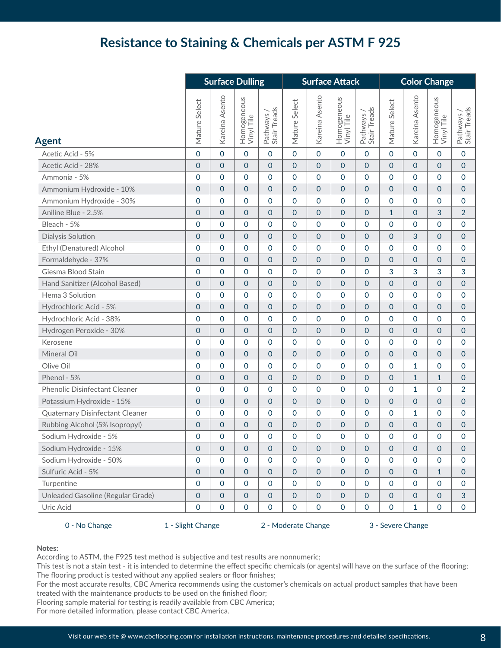## **Resistance to Staining & Chemicals per ASTM F 925**

|                                      | <b>Surface Dulling</b> |                     |                           | <b>Surface Attack</b>      |                     |                     |                           | <b>Color Change</b>        |                     |                     |                           |                            |
|--------------------------------------|------------------------|---------------------|---------------------------|----------------------------|---------------------|---------------------|---------------------------|----------------------------|---------------------|---------------------|---------------------------|----------------------------|
| <b>Agent</b>                         | Mature Select          | Kareina Asento      | Homogeneous<br>Vinyl Tile | Pathways /<br>Stair Treads | Mature Select       | Kareina Asento      | Homogeneous<br>Vinyl Tile | Pathways /<br>Stair Treads | Mature Select       | Kareina Asento      | Homogeneous<br>Vinyl Tile | Pathways /<br>Stair Treads |
| Acetic Acid - 5%                     | $\mathbf 0$            | $\Omega$            | $\mathbf{O}$              | $\Omega$                   | 0                   | 0                   | $\mathsf{O}\xspace$       | 0                          | $\mathbf 0$         | $\mathbf 0$         | $\mathbf 0$               | $\mathsf{O}\xspace$        |
| Acetic Acid - 28%                    | $\overline{0}$         | $\overline{0}$      | $\mathbf{O}$              | $\mathbf{O}$               | $\overline{0}$      | 0                   | $\pmb{0}$                 | 0                          | $\mathsf{O}\xspace$ | $\mathbf 0$         | $\overline{0}$            | $\mathbf{O}$               |
| Ammonia - 5%                         | $\mathbf 0$            | $\mathbf 0$         | $\mathbf 0$               | $\mathbf 0$                | 0                   | 0                   | 0                         | 0                          | $\mathsf{O}\xspace$ | $\mathbf 0$         | $\mathbf 0$               | $\mathbf 0$                |
| Ammonium Hydroxide - 10%             | $\mathbf 0$            | 0                   | $\overline{0}$            | $\mathbf{O}$               | $\overline{0}$      | $\overline{0}$      | $\mathbf{O}$              | 0                          | $\mathbf 0$         | $\mathsf{O}\xspace$ | $\overline{0}$            | $\mathbf 0$                |
| Ammonium Hydroxide - 30%             | $\mathbf 0$            | $\mathbf 0$         | 0                         | $\mathbf 0$                | 0                   | 0                   | $\mathbf 0$               | 0                          | 0                   | $\mathbf 0$         | $\mathbf 0$               | 0                          |
| Aniline Blue - 2.5%                  | $\overline{0}$         | $\overline{0}$      | $\overline{0}$            | $\mathbf{O}$               | 0                   | 0                   | 0                         | 0                          | $\mathbf{1}$        | $\mathsf{O}\xspace$ | 3                         | $\overline{2}$             |
| Bleach - 5%                          | $\mathbf 0$            | $\mathbf 0$         | $\overline{0}$            | $\mathbf 0$                | 0                   | 0                   | 0                         | 0                          | 0                   | $\mathbf 0$         | 0                         | $\mathbf 0$                |
| <b>Dialysis Solution</b>             | $\Omega$               | $\overline{0}$      | $\mathbf 0$               | $\mathbf{O}$               | $\overline{0}$      | $\mathbf 0$         | $\pmb{0}$                 | 0                          | $\mathbf{O}$        | 3                   | $\mathbf 0$               | $\mathbf{O}$               |
| Ethyl (Denatured) Alcohol            | 0                      | $\mathbf{O}$        | 0                         | $\mathbf 0$                | 0                   | 0                   | 0                         | 0                          | 0                   | $\mathbf 0$         | 0                         | 0                          |
| Formaldehyde - 37%                   | $\Omega$               | $\Omega$            | $\mathbf 0$               | $\mathbf{O}$               | $\overline{0}$      | $\overline{0}$      | $\mathbf 0$               | 0                          | $\mathbf{O}$        | $\overline{0}$      | $\overline{0}$            | $\mathbf 0$                |
| Giesma Blood Stain                   | $\overline{0}$         | $\Omega$            | $\overline{0}$            | $\mathbf 0$                | 0                   | 0                   | 0                         | 0                          | 3                   | 3                   | 3                         | $\mathbf{3}$               |
| Hand Sanitizer (Alcohol Based)       | $\mathbf 0$            | $\overline{0}$      | $\overline{0}$            | $\mathbf{O}$               | $\overline{0}$      | $\mathsf{O}\xspace$ | $\pmb{0}$                 | 0                          | $\mathsf{O}\xspace$ | $\mathsf{O}\xspace$ | $\overline{0}$            | $\mathbf 0$                |
| Hema 3 Solution                      | $\mathbf{O}$           | $\mathbf 0$         | $\mathbf 0$               | $\mathbf 0$                | 0                   | 0                   | 0                         | 0                          | $\mathsf{O}\xspace$ | $\mathbf 0$         | $\mathbf 0$               | $\mathbf 0$                |
| Hydrochloric Acid - 5%               | $\mathbf 0$            | $\mathbf{O}$        | $\overline{0}$            | $\mathbf{O}$               | $\overline{0}$      | $\overline{0}$      | $\pmb{0}$                 | 0                          | $\mathsf{O}\xspace$ | $\mathsf{O}\xspace$ | $\overline{0}$            | $\mathbf 0$                |
| Hydrochloric Acid - 38%              | $\mathbf 0$            | $\Omega$            | $\overline{0}$            | $\mathbf 0$                | 0                   | 0                   | $\mathbf 0$               | 0                          | $\mathsf{O}$        | $\mathbf 0$         | $\mathbf 0$               | $\mathbf 0$                |
| Hydrogen Peroxide - 30%              | $\overline{0}$         | $\overline{0}$      | $\overline{0}$            | $\mathbf{O}$               | 0                   | 0                   | 0                         | 0                          | $\mathsf{O}\xspace$ | $\mathsf{O}\xspace$ | $\overline{0}$            | $\mathsf{O}\xspace$        |
| Kerosene                             | $\Omega$               | $\mathbf 0$         | $\overline{0}$            | $\mathbf 0$                | 0                   | 0                   | 0                         | 0                          | 0                   | $\mathbf 0$         | $\mathbf 0$               | $\mathbf 0$                |
| Mineral Oil                          | $\mathbf 0$            | $\overline{0}$      | $\mathbf 0$               | $\mathbf{O}$               | $\overline{0}$      | $\overline{0}$      | $\pmb{0}$                 | 0                          | $\mathbf 0$         | $\mathsf{O}\xspace$ | $\mathbf 0$               | $\mathbf 0$                |
| Olive Oil                            | $\overline{0}$         | $\Omega$            | 0                         | $\mathbf 0$                | 0                   | 0                   | 0                         | 0                          | 0                   | $\mathbf{1}$        | $\mathbf 0$               | 0                          |
| Phenol - 5%                          | $\Omega$               | $\overline{0}$      | $\mathbf 0$               | $\mathbf{O}$               | $\overline{0}$      | $\overline{0}$      | $\mathsf{O}\xspace$       | 0                          | $\overline{O}$      | $\mathbf{1}$        | $\mathbf{1}$              | $\pmb{0}$                  |
| <b>Phenolic Disinfectant Cleaner</b> | $\mathbf 0$            | $\Omega$            | $\overline{0}$            | $\mathbf 0$                | 0                   | 0                   | $\mathbf 0$               | 0                          | 0                   | $\mathbf{1}$        | $\mathbf 0$               | $\overline{2}$             |
| Potassium Hydroxide - 15%            | $\mathbf 0$            | $\overline{0}$      | $\overline{0}$            | $\mathbf{O}$               | $\overline{0}$      | $\mathsf{O}\xspace$ | $\pmb{0}$                 | 0                          | $\mathsf{O}\xspace$ | $\mathsf{O}\xspace$ | $\overline{0}$            | $\mathbf 0$                |
| Quaternary Disinfectant Cleaner      | $\mathbf 0$            | $\mathbf 0$         | $\mathbf 0$               | $\mathbf 0$                | 0                   | 0                   | 0                         | 0                          | $\mathsf{O}\xspace$ | $\mathbf{1}$        | $\mathbf 0$               | $\mathbf 0$                |
| Rubbing Alcohol (5% Isopropyl)       | $\mathbf 0$            | 0                   | $\mathbf 0$               | $\mathbf 0$                | $\mathsf{O}\xspace$ | $\mathsf{O}\xspace$ | $\mathsf{O}\xspace$       | 0                          | $\mathsf{O}\xspace$ | $\mathsf{O}\xspace$ | $\mathbf 0$               | $\mathbf 0$                |
| Sodium Hydroxide - 5%                | $\overline{0}$         | 0                   | 0                         | $\Omega$                   | 0                   | 0                   | $\mathbf 0$               | 0                          | $\mathbf 0$         | $\mathbf 0$         | $\mathbf 0$               | $\mathbf 0$                |
| Sodium Hydroxide - 15%               | $\mathbf 0$            | $\mathbf 0$         | 0                         | $\mathbf 0$                | 0                   | 0                   | 0                         | 0                          | $\mathbf 0$         | $\mathbf 0$         | $\mathbf 0$               | 0                          |
| Sodium Hydroxide - 50%               | $\mathbf 0$            | $\mathbf 0$         | $\mathbf 0$               | $\mathbf 0$                | 0                   | 0                   | $\mathsf{O}\xspace$       | 0                          | $\mathsf{O}\xspace$ | $\mathbf 0$         | $\mathbf 0$               | $\mathbf 0$                |
| Sulfuric Acid - 5%                   | $\mathsf{O}\xspace$    | $\mathbf 0$         | $\pmb{0}$                 | $\mathsf{O}\xspace$        | 0                   | $\mathsf{O}\xspace$ | $\mathsf{O}\xspace$       | 0                          | $\mathsf{O}\xspace$ | $\mathsf{O}\xspace$ | $\mathbf{1}$              | $\pmb{0}$                  |
| Turpentine                           | 0                      | $\mathbf 0$         | 0                         | 0                          | 0                   | 0                   | 0                         | 0                          | $\pmb{0}$           | $\mathbf 0$         | 0                         | 0                          |
| Unleaded Gasoline (Regular Grade)    | $\mathsf{O}\xspace$    | $\mathbf 0$         | 0                         | $\mathbf 0$                | 0                   | $\mathsf{O}\xspace$ | $\pmb{0}$                 | 0                          | $\mathsf{O}\xspace$ | $\mathsf{O}\xspace$ | $\mathbf{O}$              | $\mathbf{3}$               |
| Uric Acid                            | 0                      | $\mathsf{O}\xspace$ | $\mathsf{O}\xspace$       | $\mathsf{O}\xspace$        | 0                   | 0                   | $\mathsf{O}\xspace$       | 0                          | $\mathsf{O}\xspace$ | $\mathbf{1}$        | 0                         | $\pmb{0}$                  |

0 - No Change 1 - Slight Change 2 - Moderate Change 3 - Severe Change

#### **Notes:**

According to ASTM, the F925 test method is subjective and test results are nonnumeric;

This test is not a stain test - it is intended to determine the effect specific chemicals (or agents) will have on the surface of the flooring; The flooring product is tested without any applied sealers or floor finishes;

For the most accurate results, CBC America recommends using the customer's chemicals on actual product samples that have been treated with the maintenance products to be used on the finished floor;

Flooring sample material for testing is readily available from CBC America;

For more detailed information, please contact CBC America.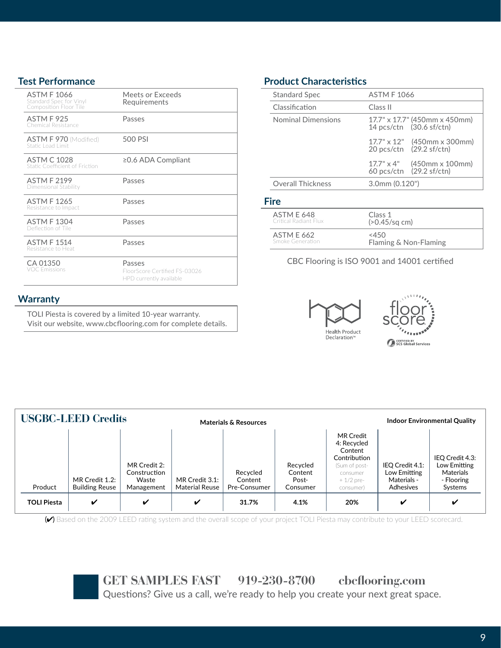#### **Test Performance**

| <b>ASTM F 1066</b><br>Standard Spec for Vinyl<br>Composition Floor Tile | Meets or Exceeds<br>Requirements                                   |
|-------------------------------------------------------------------------|--------------------------------------------------------------------|
| ASTM F 925<br>Chemical Resistance                                       | Passes                                                             |
| <b>ASTM F 970</b> (Modified)<br>Static Load Limit                       | 500 PSI                                                            |
| <b>ASTM C 1028</b><br>Static Coefficient of Eriction                    | $\geq$ 0.6 ADA Compliant                                           |
| <b>ASTM F 2199</b><br>Dimensional Stability                             | Passes                                                             |
| <b>ASTM F1265</b><br>Resistance to Impact                               | Passes                                                             |
| <b>ASTM F1304</b><br>Deflection of Tile                                 | Passes                                                             |
| <b>ASTM F 1514</b><br>Resistance to Heat                                | Passes                                                             |
| CA 01350<br>VOC Emissions                                               | Passes<br>FloorScore Certified ES-03026<br>HPD currently available |

#### **Warranty**

TOLI Piesta is covered by a limited 10-year warranty. Visit our website, www.cbcflooring.com for complete details.

#### **Product Characteristics**

| <b>Standard Spec</b>      | <b>ASTM F 1066</b>                                                                        |  |  |  |  |
|---------------------------|-------------------------------------------------------------------------------------------|--|--|--|--|
| Classification            | Class II                                                                                  |  |  |  |  |
| <b>Nominal Dimensions</b> | 17.7" x 17.7" (450mm x 450mm)<br>14 pcs/ctn (30.6 sf/ctn)                                 |  |  |  |  |
|                           | $17.7'' \times 12''$ (450mm x 300mm)<br>20 pcs/ctn (29.2 sf/ctn)                          |  |  |  |  |
|                           | $17.7" \times 4"$<br>(450 <sub>mm</sub> × 100 <sub>mm</sub> )<br>60 pcs/ctn (29.2 sf/ctn) |  |  |  |  |
| <b>Overall Thickness</b>  | 3.0mm (0.120")                                                                            |  |  |  |  |
|                           |                                                                                           |  |  |  |  |

#### **Fire**

| <b>ASTM E 648</b>     | Class 1               |  |  |
|-----------------------|-----------------------|--|--|
| Critical Radiant Flux | $(>0.45$ /sq cm)      |  |  |
| <b>ASTM E 662</b>     | $<$ 450               |  |  |
| Smoke Generation      | Flaming & Non-Flaming |  |  |

CBC Flooring is ISO 9001 and 14001 certified

![](_page_8_Picture_9.jpeg)

![](_page_8_Picture_10.jpeg)

| <b>USGBC-LEED Credits</b> |                                         |                                                     | Materials & Resources            |                                     |                                          |                                                                                                              | <b>Indoor Environmental Quality</b>                         |                                                                       |
|---------------------------|-----------------------------------------|-----------------------------------------------------|----------------------------------|-------------------------------------|------------------------------------------|--------------------------------------------------------------------------------------------------------------|-------------------------------------------------------------|-----------------------------------------------------------------------|
| Product                   | MR Credit 1.2:<br><b>Building Reuse</b> | MR Credit 2:<br>Construction<br>Waste<br>Management | MR Credit 3.1:<br>Material Reuse | Recycled<br>Content<br>Pre-Consumer | Recycled<br>Content<br>Post-<br>Consumer | MR Credit<br>4: Recycled<br>Content<br>Contribution<br>(Sum of post-<br>consumer<br>$+1/2$ pre-<br>consumer) | IEQ Credit 4.1:<br>Low Emitting<br>Materials -<br>Adhesives | IEQ Credit 4.3:<br>Low Emitting<br>Materials<br>- Flooring<br>Systems |
| <b>TOLI Piesta</b>        | V                                       | V                                                   | V                                | 31.7%                               | 4.1%                                     | 20%                                                                                                          | V                                                           | v                                                                     |

(✔) Based on the 2009 LEED rating system and the overall scope of your project TOLI Piesta may contribute to your LEED scorecard.

![](_page_8_Picture_13.jpeg)

**GET SAMPLES FAST 919-230-8700 cbcflooring.com** Questions? Give us a call, we're ready to help you create your next great space.